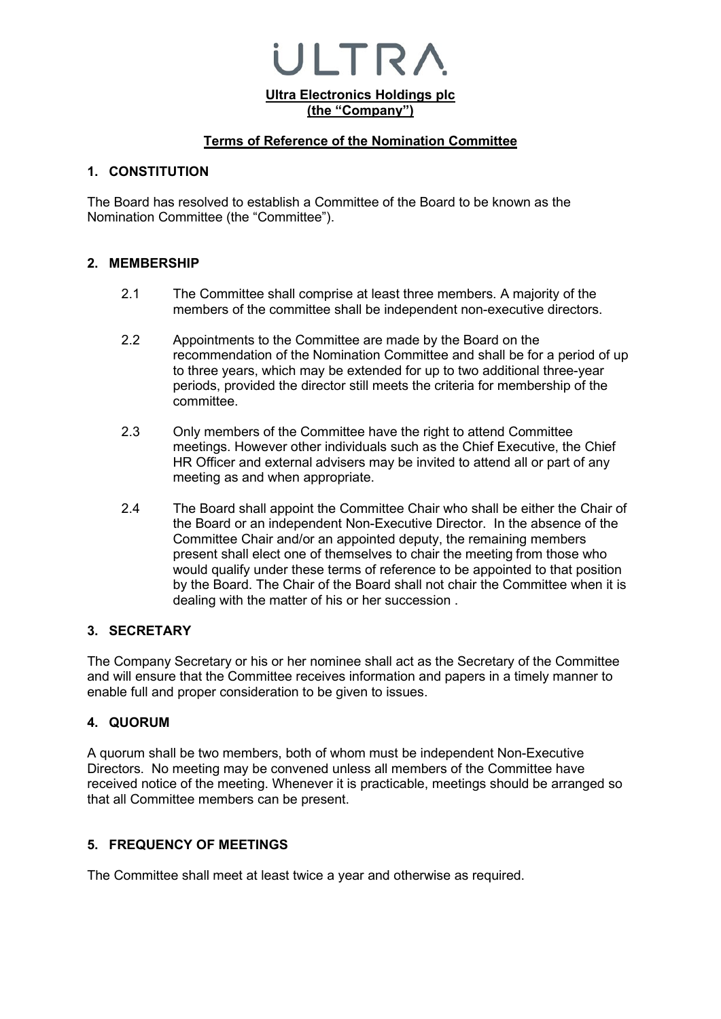**Ultra Electronics Holdings plc (the "Company")**

 $\blacksquare$  TR  $\prime$ 

### **Terms of Reference of the Nomination Committee**

### **1. CONSTITUTION**

The Board has resolved to establish a Committee of the Board to be known as the Nomination Committee (the "Committee").

### **2. MEMBERSHIP**

- 2.1 The Committee shall comprise at least three members. A majority of the members of the committee shall be independent non-executive directors.
- 2.2 Appointments to the Committee are made by the Board on the recommendation of the Nomination Committee and shall be for a period of up to three years, which may be extended for up to two additional three-year periods, provided the director still meets the criteria for membership of the committee.
- 2.3 Only members of the Committee have the right to attend Committee meetings. However other individuals such as the Chief Executive, the Chief HR Officer and external advisers may be invited to attend all or part of any meeting as and when appropriate.
- 2.4 The Board shall appoint the Committee Chair who shall be either the Chair of the Board or an independent Non-Executive Director. In the absence of the Committee Chair and/or an appointed deputy, the remaining members present shall elect one of themselves to chair the meeting from those who would qualify under these terms of reference to be appointed to that position by the Board. The Chair of the Board shall not chair the Committee when it is dealing with the matter of his or her succession .

### **3. SECRETARY**

The Company Secretary or his or her nominee shall act as the Secretary of the Committee and will ensure that the Committee receives information and papers in a timely manner to enable full and proper consideration to be given to issues.

# **4. QUORUM**

A quorum shall be two members, both of whom must be independent Non-Executive Directors. No meeting may be convened unless all members of the Committee have received notice of the meeting. Whenever it is practicable, meetings should be arranged so that all Committee members can be present.

# **5. FREQUENCY OF MEETINGS**

The Committee shall meet at least twice a year and otherwise as required.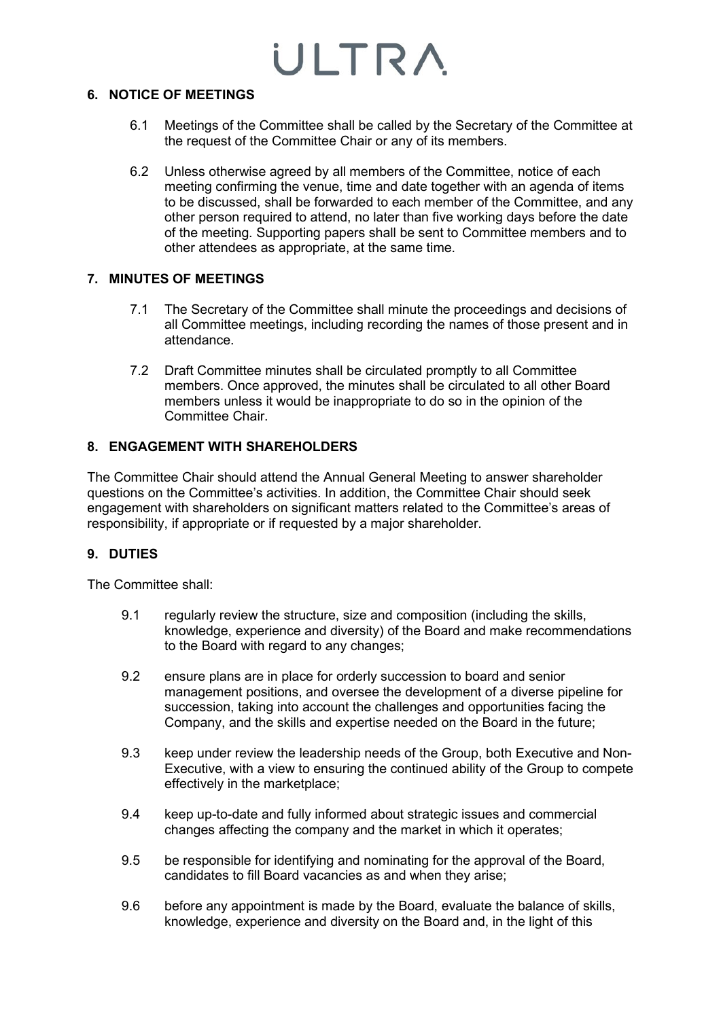### **6. NOTICE OF MEETINGS**

- 6.1 Meetings of the Committee shall be called by the Secretary of the Committee at the request of the Committee Chair or any of its members.
- 6.2 Unless otherwise agreed by all members of the Committee, notice of each meeting confirming the venue, time and date together with an agenda of items to be discussed, shall be forwarded to each member of the Committee, and any other person required to attend, no later than five working days before the date of the meeting. Supporting papers shall be sent to Committee members and to other attendees as appropriate, at the same time.

# **7. MINUTES OF MEETINGS**

- 7.1 The Secretary of the Committee shall minute the proceedings and decisions of all Committee meetings, including recording the names of those present and in attendance.
- 7.2 Draft Committee minutes shall be circulated promptly to all Committee members. Once approved, the minutes shall be circulated to all other Board members unless it would be inappropriate to do so in the opinion of the Committee Chair.

# **8. ENGAGEMENT WITH SHAREHOLDERS**

The Committee Chair should attend the Annual General Meeting to answer shareholder questions on the Committee's activities. In addition, the Committee Chair should seek engagement with shareholders on significant matters related to the Committee's areas of responsibility, if appropriate or if requested by a major shareholder.

# **9. DUTIES**

The Committee shall:

- 9.1 regularly review the structure, size and composition (including the skills, knowledge, experience and diversity) of the Board and make recommendations to the Board with regard to any changes;
- 9.2 ensure plans are in place for orderly succession to board and senior management positions, and oversee the development of a diverse pipeline for succession, taking into account the challenges and opportunities facing the Company, and the skills and expertise needed on the Board in the future;
- 9.3 keep under review the leadership needs of the Group, both Executive and Non-Executive, with a view to ensuring the continued ability of the Group to compete effectively in the marketplace;
- 9.4 keep up-to-date and fully informed about strategic issues and commercial changes affecting the company and the market in which it operates;
- 9.5 be responsible for identifying and nominating for the approval of the Board, candidates to fill Board vacancies as and when they arise;
- 9.6 before any appointment is made by the Board, evaluate the balance of skills, knowledge, experience and diversity on the Board and, in the light of this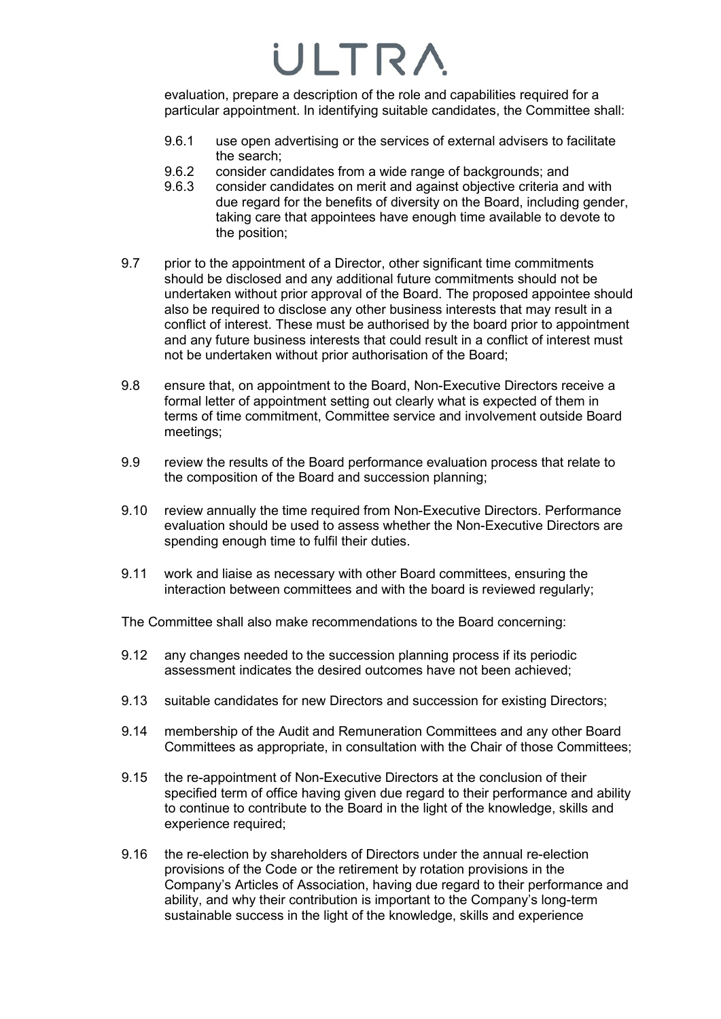evaluation, prepare a description of the role and capabilities required for a particular appointment. In identifying suitable candidates, the Committee shall:

- 9.6.1 use open advertising or the services of external advisers to facilitate the search;
- 9.6.2 consider candidates from a wide range of backgrounds; and
- 9.6.3 consider candidates on merit and against objective criteria and with due regard for the benefits of diversity on the Board, including gender, taking care that appointees have enough time available to devote to the position;
- 9.7 prior to the appointment of a Director, other significant time commitments should be disclosed and any additional future commitments should not be undertaken without prior approval of the Board. The proposed appointee should also be required to disclose any other business interests that may result in a conflict of interest. These must be authorised by the board prior to appointment and any future business interests that could result in a conflict of interest must not be undertaken without prior authorisation of the Board;
- 9.8 ensure that, on appointment to the Board, Non-Executive Directors receive a formal letter of appointment setting out clearly what is expected of them in terms of time commitment, Committee service and involvement outside Board meetings;
- 9.9 review the results of the Board performance evaluation process that relate to the composition of the Board and succession planning;
- 9.10 review annually the time required from Non-Executive Directors. Performance evaluation should be used to assess whether the Non-Executive Directors are spending enough time to fulfil their duties.
- 9.11 work and liaise as necessary with other Board committees, ensuring the interaction between committees and with the board is reviewed regularly;

The Committee shall also make recommendations to the Board concerning:

- 9.12 any changes needed to the succession planning process if its periodic assessment indicates the desired outcomes have not been achieved;
- 9.13 suitable candidates for new Directors and succession for existing Directors;
- 9.14 membership of the Audit and Remuneration Committees and any other Board Committees as appropriate, in consultation with the Chair of those Committees;
- 9.15 the re-appointment of Non-Executive Directors at the conclusion of their specified term of office having given due regard to their performance and ability to continue to contribute to the Board in the light of the knowledge, skills and experience required;
- 9.16 the re-election by shareholders of Directors under the annual re-election provisions of the Code or the retirement by rotation provisions in the Company's Articles of Association, having due regard to their performance and ability, and why their contribution is important to the Company's long-term sustainable success in the light of the knowledge, skills and experience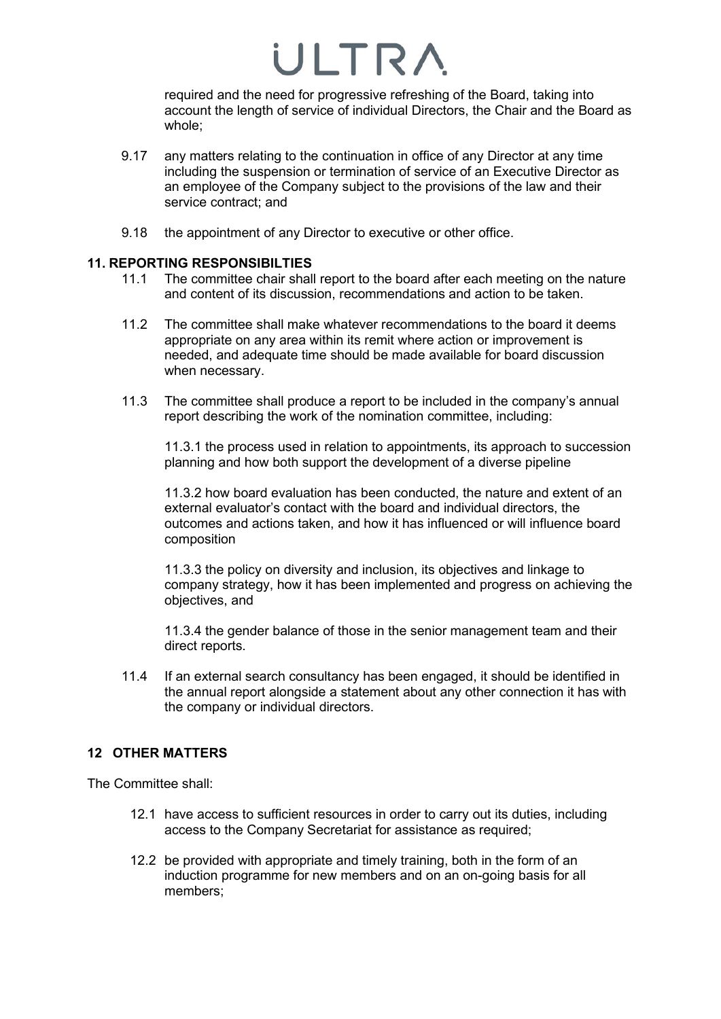required and the need for progressive refreshing of the Board, taking into account the length of service of individual Directors, the Chair and the Board as whole;

- 9.17 any matters relating to the continuation in office of any Director at any time including the suspension or termination of service of an Executive Director as an employee of the Company subject to the provisions of the law and their service contract; and
- 9.18 the appointment of any Director to executive or other office.

### **11. REPORTING RESPONSIBILTIES**

- 11.1 The committee chair shall report to the board after each meeting on the nature and content of its discussion, recommendations and action to be taken.
- 11.2 The committee shall make whatever recommendations to the board it deems appropriate on any area within its remit where action or improvement is needed, and adequate time should be made available for board discussion when necessary.
- 11.3 The committee shall produce a report to be included in the company's annual report describing the work of the nomination committee, including:

11.3.1 the process used in relation to appointments, its approach to succession planning and how both support the development of a diverse pipeline

11.3.2 how board evaluation has been conducted, the nature and extent of an external evaluator's contact with the board and individual directors, the outcomes and actions taken, and how it has influenced or will influence board composition

11.3.3 the policy on diversity and inclusion, its objectives and linkage to company strategy, how it has been implemented and progress on achieving the objectives, and

11.3.4 the gender balance of those in the senior management team and their direct reports.

11.4 If an external search consultancy has been engaged, it should be identified in the annual report alongside a statement about any other connection it has with the company or individual directors.

### **12 OTHER MATTERS**

The Committee shall:

- 12.1 have access to sufficient resources in order to carry out its duties, including access to the Company Secretariat for assistance as required;
- 12.2 be provided with appropriate and timely training, both in the form of an induction programme for new members and on an on-going basis for all members;